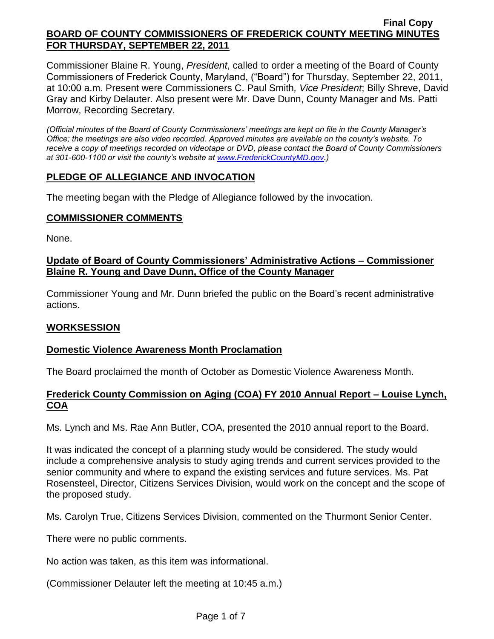Commissioner Blaine R. Young, *President*, called to order a meeting of the Board of County Commissioners of Frederick County, Maryland, ("Board") for Thursday, September 22, 2011, at 10:00 a.m. Present were Commissioners C. Paul Smith*, Vice President*; Billy Shreve, David Gray and Kirby Delauter. Also present were Mr. Dave Dunn, County Manager and Ms. Patti Morrow, Recording Secretary.

*(Official minutes of the Board of County Commissioners' meetings are kept on file in the County Manager's Office; the meetings are also video recorded. Approved minutes are available on the county's website. To receive a copy of meetings recorded on videotape or DVD, please contact the Board of County Commissioners at 301-600-1100 or visit the county's website at [www.FrederickCountyMD.gov.](http://www.frederickcountymd.gov/))*

# **PLEDGE OF ALLEGIANCE AND INVOCATION**

The meeting began with the Pledge of Allegiance followed by the invocation.

### **COMMISSIONER COMMENTS**

None.

## **Update of Board of County Commissioners' Administrative Actions – Commissioner Blaine R. Young and Dave Dunn, Office of the County Manager**

Commissioner Young and Mr. Dunn briefed the public on the Board's recent administrative actions.

## **WORKSESSION**

## **Domestic Violence Awareness Month Proclamation**

The Board proclaimed the month of October as Domestic Violence Awareness Month.

## **Frederick County Commission on Aging (COA) FY 2010 Annual Report – Louise Lynch, COA**

Ms. Lynch and Ms. Rae Ann Butler, COA, presented the 2010 annual report to the Board.

It was indicated the concept of a planning study would be considered. The study would include a comprehensive analysis to study aging trends and current services provided to the senior community and where to expand the existing services and future services. Ms. Pat Rosensteel, Director, Citizens Services Division, would work on the concept and the scope of the proposed study.

Ms. Carolyn True, Citizens Services Division, commented on the Thurmont Senior Center.

There were no public comments.

No action was taken, as this item was informational.

(Commissioner Delauter left the meeting at 10:45 a.m.)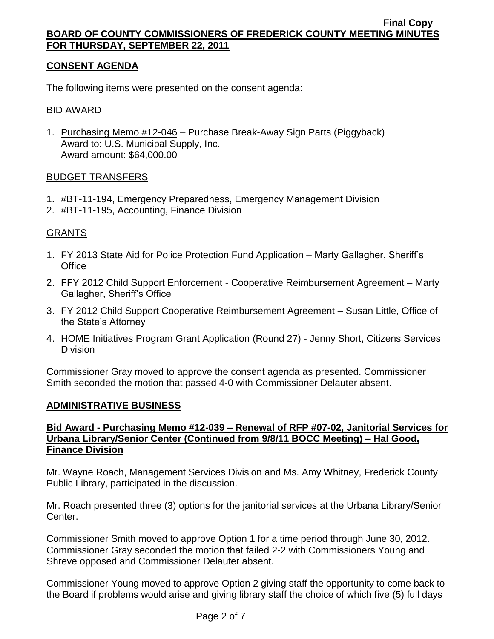# **CONSENT AGENDA**

The following items were presented on the consent agenda:

### BID AWARD

1. Purchasing Memo #12-046 - Purchase Break-Away Sign Parts (Piggyback) Award to: U.S. Municipal Supply, Inc. Award amount: \$64,000.00

#### BUDGET TRANSFERS

- 1. #BT-11-194, Emergency Preparedness, Emergency Management Division
- 2. #BT-11-195, Accounting, Finance Division

### GRANTS

- 1. FY 2013 State Aid for Police Protection Fund Application Marty Gallagher, Sheriff's **Office**
- 2. FFY 2012 Child Support Enforcement Cooperative Reimbursement Agreement Marty Gallagher, Sheriff's Office
- 3. FY 2012 Child Support Cooperative Reimbursement Agreement Susan Little, Office of the State's Attorney
- 4. HOME Initiatives Program Grant Application (Round 27) Jenny Short, Citizens Services **Division**

Commissioner Gray moved to approve the consent agenda as presented. Commissioner Smith seconded the motion that passed 4-0 with Commissioner Delauter absent.

## **ADMINISTRATIVE BUSINESS**

### **Bid Award - Purchasing Memo #12-039 – Renewal of RFP #07-02, Janitorial Services for Urbana Library/Senior Center (Continued from 9/8/11 BOCC Meeting) – Hal Good, Finance Division**

Mr. Wayne Roach, Management Services Division and Ms. Amy Whitney, Frederick County Public Library, participated in the discussion.

Mr. Roach presented three (3) options for the janitorial services at the Urbana Library/Senior Center.

Commissioner Smith moved to approve Option 1 for a time period through June 30, 2012. Commissioner Gray seconded the motion that failed 2-2 with Commissioners Young and Shreve opposed and Commissioner Delauter absent.

Commissioner Young moved to approve Option 2 giving staff the opportunity to come back to the Board if problems would arise and giving library staff the choice of which five (5) full days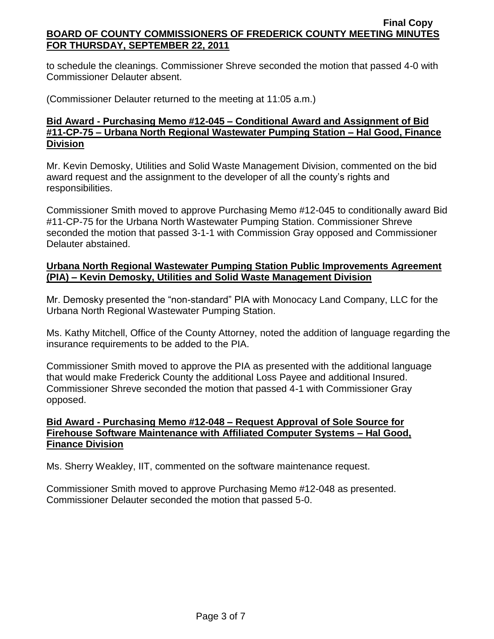to schedule the cleanings. Commissioner Shreve seconded the motion that passed 4-0 with Commissioner Delauter absent.

(Commissioner Delauter returned to the meeting at 11:05 a.m.)

## **Bid Award - Purchasing Memo #12-045 – Conditional Award and Assignment of Bid #11-CP-75 – Urbana North Regional Wastewater Pumping Station – Hal Good, Finance Division**

Mr. Kevin Demosky, Utilities and Solid Waste Management Division, commented on the bid award request and the assignment to the developer of all the county's rights and responsibilities.

Commissioner Smith moved to approve Purchasing Memo #12-045 to conditionally award Bid #11-CP-75 for the Urbana North Wastewater Pumping Station. Commissioner Shreve seconded the motion that passed 3-1-1 with Commission Gray opposed and Commissioner Delauter abstained.

## **Urbana North Regional Wastewater Pumping Station Public Improvements Agreement (PIA) – Kevin Demosky, Utilities and Solid Waste Management Division**

Mr. Demosky presented the "non-standard" PIA with Monocacy Land Company, LLC for the Urbana North Regional Wastewater Pumping Station.

Ms. Kathy Mitchell, Office of the County Attorney, noted the addition of language regarding the insurance requirements to be added to the PIA.

Commissioner Smith moved to approve the PIA as presented with the additional language that would make Frederick County the additional Loss Payee and additional Insured. Commissioner Shreve seconded the motion that passed 4-1 with Commissioner Gray opposed.

# **Bid Award - Purchasing Memo #12-048 – Request Approval of Sole Source for Firehouse Software Maintenance with Affiliated Computer Systems – Hal Good, Finance Division**

Ms. Sherry Weakley, IIT, commented on the software maintenance request.

Commissioner Smith moved to approve Purchasing Memo #12-048 as presented. Commissioner Delauter seconded the motion that passed 5-0.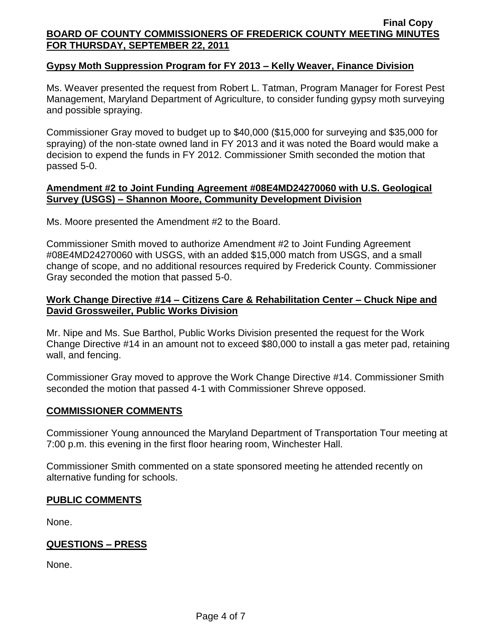## **Gypsy Moth Suppression Program for FY 2013 – Kelly Weaver, Finance Division**

Ms. Weaver presented the request from Robert L. Tatman, Program Manager for Forest Pest Management, Maryland Department of Agriculture, to consider funding gypsy moth surveying and possible spraying.

Commissioner Gray moved to budget up to \$40,000 (\$15,000 for surveying and \$35,000 for spraying) of the non-state owned land in FY 2013 and it was noted the Board would make a decision to expend the funds in FY 2012. Commissioner Smith seconded the motion that passed 5-0.

### **Amendment #2 to Joint Funding Agreement #08E4MD24270060 with U.S. Geological Survey (USGS) – Shannon Moore, Community Development Division**

Ms. Moore presented the Amendment #2 to the Board.

Commissioner Smith moved to authorize Amendment #2 to Joint Funding Agreement #08E4MD24270060 with USGS, with an added \$15,000 match from USGS, and a small change of scope, and no additional resources required by Frederick County. Commissioner Gray seconded the motion that passed 5-0.

### **Work Change Directive #14 – Citizens Care & Rehabilitation Center – Chuck Nipe and David Grossweiler, Public Works Division**

Mr. Nipe and Ms. Sue Barthol, Public Works Division presented the request for the Work Change Directive #14 in an amount not to exceed \$80,000 to install a gas meter pad, retaining wall, and fencing.

Commissioner Gray moved to approve the Work Change Directive #14. Commissioner Smith seconded the motion that passed 4-1 with Commissioner Shreve opposed.

#### **COMMISSIONER COMMENTS**

Commissioner Young announced the Maryland Department of Transportation Tour meeting at 7:00 p.m. this evening in the first floor hearing room, Winchester Hall.

Commissioner Smith commented on a state sponsored meeting he attended recently on alternative funding for schools.

## **PUBLIC COMMENTS**

None.

## **QUESTIONS – PRESS**

None.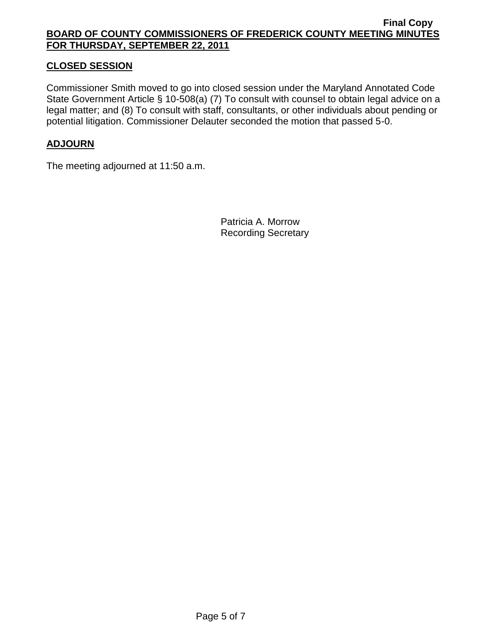# **CLOSED SESSION**

Commissioner Smith moved to go into closed session under the Maryland Annotated Code State Government Article § 10-508(a) (7) To consult with counsel to obtain legal advice on a legal matter; and (8) To consult with staff, consultants, or other individuals about pending or potential litigation. Commissioner Delauter seconded the motion that passed 5-0.

# **ADJOURN**

The meeting adjourned at 11:50 a.m.

Patricia A. Morrow Recording Secretary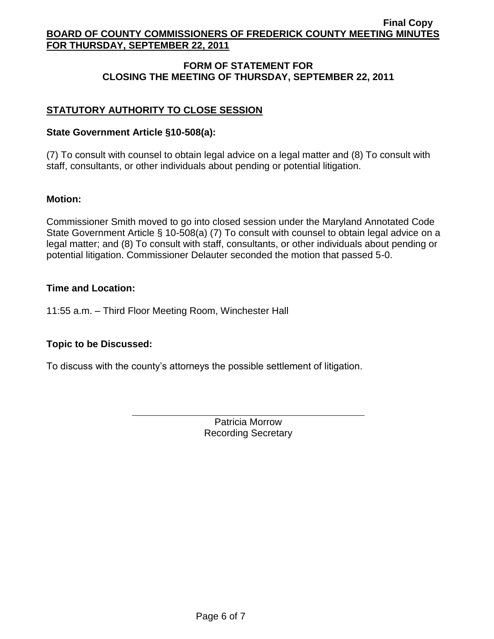# **FORM OF STATEMENT FOR CLOSING THE MEETING OF THURSDAY, SEPTEMBER 22, 2011**

# **STATUTORY AUTHORITY TO CLOSE SESSION**

# **State Government Article §10-508(a):**

(7) To consult with counsel to obtain legal advice on a legal matter and (8) To consult with staff, consultants, or other individuals about pending or potential litigation.

# **Motion:**

Commissioner Smith moved to go into closed session under the Maryland Annotated Code State Government Article § 10-508(a) (7) To consult with counsel to obtain legal advice on a legal matter; and (8) To consult with staff, consultants, or other individuals about pending or potential litigation. Commissioner Delauter seconded the motion that passed 5-0.

# **Time and Location:**

11:55 a.m. – Third Floor Meeting Room, Winchester Hall

# **Topic to be Discussed:**

To discuss with the county's attorneys the possible settlement of litigation.

Patricia Morrow Recording Secretary